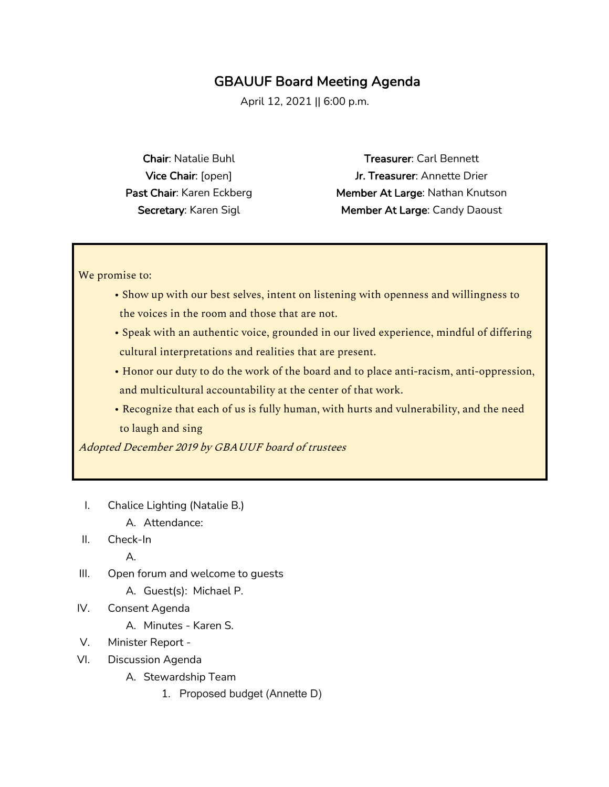## GBAUUF Board Meeting Agenda

April 12, 2021 || 6:00 p.m.

Chair: Natalie Buhl Vice Chair: [open] Past Chair: Karen Eckberg Secretary: Karen Sigl

Treasurer: Carl Bennett Jr. Treasurer: Annette Drier Member At Large: Nathan Knutson Member At Large: Candy Daoust

We promise to:

- Show up with our best selves, intent on listening with openness and willingness to the voices in the room and those that are not.
- Speak with an authentic voice, grounded in our lived experience, mindful of differing cultural interpretations and realities that are present.
- Honor our duty to do the work of the board and to place anti-racism, anti-oppression, and multicultural accountability at the center of that work.
- Recognize that each of us is fully human, with hurts and vulnerability, and the need to laugh and sing

Adopted December 2019 by GBAUUF board of trustees

- I. Chalice Lighting (Natalie B.)
	- A. Attendance:
- II. Check-In

A.

- III. Open forum and welcome to guests
	- A. Guest(s): Michael P.
- IV. Consent Agenda
	- A. Minutes Karen S.
- V. Minister Report -
- VI. Discussion Agenda
	- A. Stewardship Team
		- 1. Proposed budget (Annette D)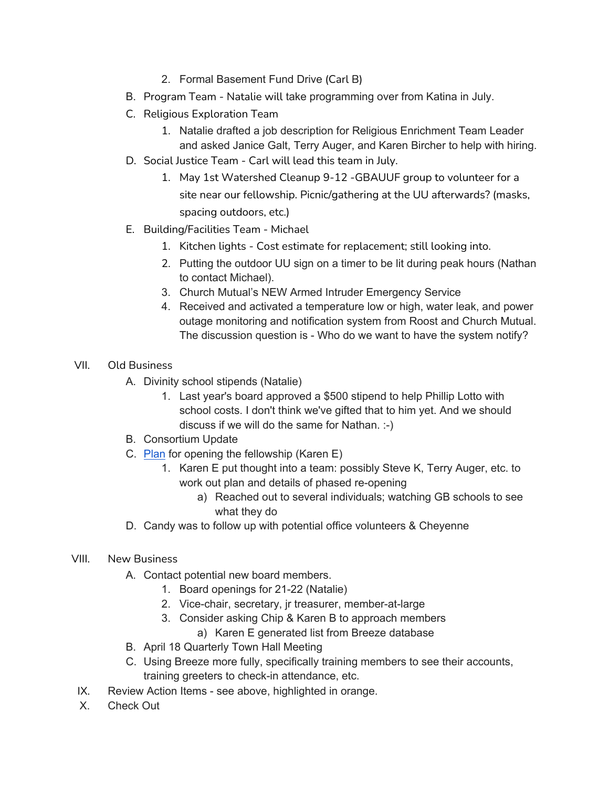- 2. Formal Basement Fund Drive (Carl B)
- B. Program Team Natalie will take programming over from Katina in July.
- C. Religious Exploration Team
	- 1. Natalie drafted a job description for Religious Enrichment Team Leader and asked Janice Galt, Terry Auger, and Karen Bircher to help with hiring.
- D. Social Justice Team Carl will lead this team in July.
	- 1. May 1st Watershed Cleanup 9-12 -GBAUUF group to volunteer for a site near our fellowship. Picnic/gathering at the UU afterwards? (masks, spacing outdoors, etc.)
- E. Building/Facilities Team Michael
	- 1. Kitchen lights Cost estimate for replacement; still looking into.
	- 2. Putting the outdoor UU sign on a timer to be lit during peak hours (Nathan to contact Michael).
	- 3. Church Mutual's NEW Armed Intruder Emergency Service
	- 4. Received and activated a temperature low or high, water leak, and power outage monitoring and notification system from Roost and Church Mutual. The discussion question is - Who do we want to have the system notify?
- VII. Old Business
	- A. Divinity school stipends (Natalie)
		- 1. Last year's board approved a \$500 stipend to help Phillip Lotto with school costs. I don't think we've gifted that to him yet. And we should discuss if we will do the same for Nathan. :-)
	- B. Consortium Update
	- C. Plan for opening the fellowship (Karen E)
		- 1. Karen E put thought into a team: possibly Steve K, Terry Auger, etc. to work out plan and details of phased re-opening
			- a) Reached out to several individuals; watching GB schools to see what they do
	- D. Candy was to follow up with potential office volunteers & Cheyenne
- VIII. New Business
	- A. Contact potential new board members.
		- 1. Board openings for 21-22 (Natalie)
		- 2. Vice-chair, secretary, jr treasurer, member-at-large
		- 3. Consider asking Chip & Karen B to approach members
			- a) Karen E generated list from Breeze database
	- B. April 18 Quarterly Town Hall Meeting
	- C. Using Breeze more fully, specifically training members to see their accounts, training greeters to check-in attendance, etc.
- IX. Review Action Items see above, highlighted in orange.
- X. Check Out